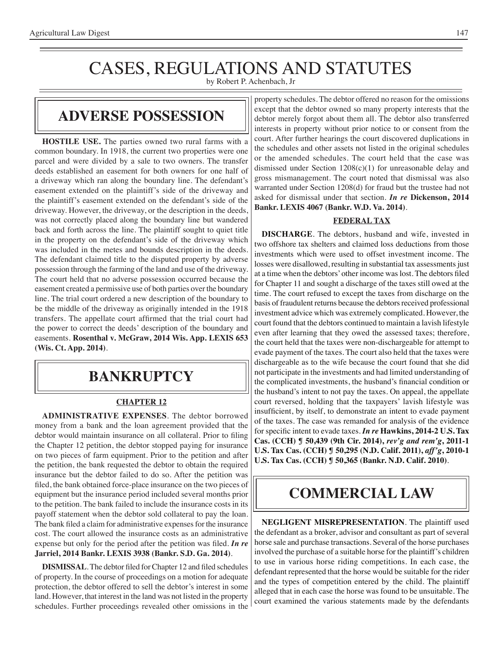# CASES, REGULATIONS AND STATUTES

by Robert P. Achenbach, Jr

### **adverse possession**

**HOSTILE USE.** The parties owned two rural farms with a common boundary. In 1918, the current two properties were one parcel and were divided by a sale to two owners. The transfer deeds established an easement for both owners for one half of a driveway which ran along the boundary line. The defendant's easement extended on the plaintiff's side of the driveway and the plaintiff's easement extended on the defendant's side of the driveway. However, the driveway, or the description in the deeds, was not correctly placed along the boundary line but wandered back and forth across the line. The plaintiff sought to quiet title in the property on the defendant's side of the driveway which was included in the metes and bounds description in the deeds. The defendant claimed title to the disputed property by adverse possession through the farming of the land and use of the driveway. The court held that no adverse possession occurred because the easement created a permissive use of both parties over the boundary line. The trial court ordered a new description of the boundary to be the middle of the driveway as originally intended in the 1918 transfers. The appellate court affirmed that the trial court had the power to correct the deeds' description of the boundary and easements. **Rosenthal v. McGraw, 2014 Wis. App. LEXIS 653 (Wis. Ct. App. 2014)**.

## **Bankruptcy**

#### **CHAPTER 12**

**ADMINISTRATIVE EXPENSES**. The debtor borrowed money from a bank and the loan agreement provided that the debtor would maintain insurance on all collateral. Prior to filing the Chapter 12 petition, the debtor stopped paying for insurance on two pieces of farm equipment. Prior to the petition and after the petition, the bank requested the debtor to obtain the required insurance but the debtor failed to do so. After the petition was filed, the bank obtained force-place insurance on the two pieces of equipment but the insurance period included several months prior to the petition. The bank failed to include the insurance costs in its payoff statement when the debtor sold collateral to pay the loan. The bank filed a claim for administrative expenses for the insurance cost. The court allowed the insurance costs as an administrative expense but only for the period after the petition was filed. *In re* **Jarriel, 2014 Bankr. LEXIS 3938 (Bankr. S.D. Ga. 2014)**.

**DISMISSAL**.The debtor filed for Chapter 12 and filed schedules of property. In the course of proceedings on a motion for adequate protection, the debtor offered to sell the debtor's interest in some land. However, that interest in the land was not listed in the property schedules. Further proceedings revealed other omissions in the

property schedules. The debtor offered no reason for the omissions except that the debtor owned so many property interests that the debtor merely forgot about them all. The debtor also transferred interests in property without prior notice to or consent from the court. After further hearings the court discovered duplications in the schedules and other assets not listed in the original schedules or the amended schedules. The court held that the case was dismissed under Section 1208(c)(1) for unreasonable delay and gross mismanagement. The court noted that dismissal was also warranted under Section 1208(d) for fraud but the trustee had not asked for dismissal under that section. *In re* **Dickenson, 2014 Bankr. LEXIS 4067 (Bankr. W.D. Va. 2014)**.

#### **FEDERAL TAX**

**DISCHARGE**. The debtors, husband and wife, invested in two offshore tax shelters and claimed loss deductions from those investments which were used to offset investment income. The losses were disallowed, resulting in substantial tax assessments just at a time when the debtors'other income waslost. The debtors filed for Chapter 11 and sought a discharge of the taxes still owed at the time. The court refused to except the taxes from discharge on the basis of fraudulent returns because the debtors received professional investment advice which was extremely complicated. However, the court found that the debtors continued to maintain a lavish lifestyle even after learning that they owed the assessed taxes; therefore, the court held that the taxes were non-dischargeable for attempt to evade payment of the taxes. The court also held that the taxes were dischargeable as to the wife because the court found that she did not participate in the investments and had limited understanding of the complicated investments, the husband's financial condition or the husband's intent to not pay the taxes. On appeal, the appellate court reversed, holding that the taxpayers' lavish lifestyle was insufficient, by itself, to demonstrate an intent to evade payment of the taxes. The case was remanded for analysis of the evidence for specific intent to evade taxes. *In re* **Hawkins, 2014-2 U.S. Tax Cas. (CCH) ¶ 50,439 (9th Cir. 2014),** *rev'g and rem'g***, 2011-1 U.S. Tax Cas. (CCH) ¶ 50,295 (N.D. Calif. 2011),** *aff'g***, 2010-1 U.S. Tax Cas. (CCH) ¶ 50,365 (Bankr. N.D. Calif. 2010)**.

## **COMMERCIAL LAW**

**NEGLIGENT MISREPRESENTATION**. The plaintiff used the defendant as a broker, advisor and consultant as part of several horse sale and purchase transactions. Several of the horse purchases involved the purchase of a suitable horse for the plaintiff's children to use in various horse riding competitions. In each case, the defendant represented that the horse would be suitable for the rider and the types of competition entered by the child. The plaintiff alleged that in each case the horse was found to be unsuitable. The court examined the various statements made by the defendants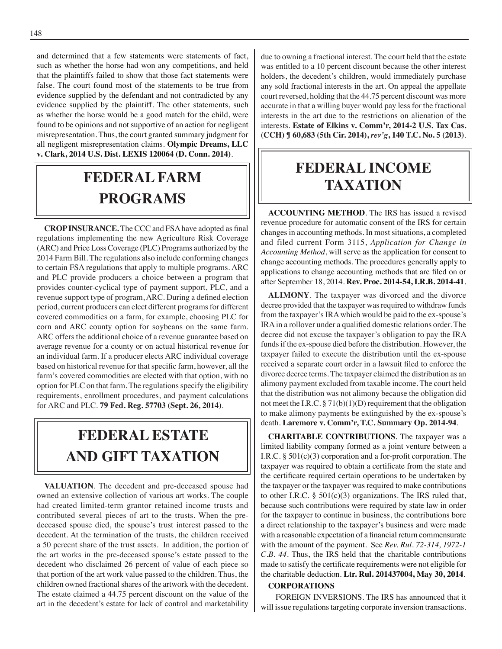and determined that a few statements were statements of fact, such as whether the horse had won any competitions, and held that the plaintiffs failed to show that those fact statements were false. The court found most of the statements to be true from evidence supplied by the defendant and not contradicted by any evidence supplied by the plaintiff. The other statements, such as whether the horse would be a good match for the child, were found to be opinions and not supportive of an action for negligent misrepresentation. Thus, the court granted summary judgment for all negligent misrepresentation claims. **Olympic Dreams, LLC v. Clark, 2014 U.S. Dist. LEXIS 120064 (D. Conn. 2014)**.

# **federal FARM PROGRAMS**

**CROP INSURANCE.** The CCC and FSAhave adopted as final regulations implementing the new Agriculture Risk Coverage (ARC) and Price Loss Coverage (PLC) Programs authorized by the 2014 Farm Bill. The regulations also include conforming changes to certain FSA regulations that apply to multiple programs. ARC and PLC provide producers a choice between a program that provides counter-cyclical type of payment support, PLC, and a revenue support type of program, ARC. During a defined election period, current producers can elect different programs for different covered commodities on a farm, for example, choosing PLC for corn and ARC county option for soybeans on the same farm. ARC offers the additional choice of a revenue guarantee based on average revenue for a county or on actual historical revenue for an individual farm. If a producer elects ARC individual coverage based on historical revenue for that specific farm, however, all the farm's covered commodities are elected with that option, with no option for PLC on that farm. The regulations specify the eligibility requirements, enrollment procedures, and payment calculations for ARC and PLC. **79 Fed. Reg. 57703 (Sept. 26, 2014)**.

# **FEDERAL ESTATE AND GIFT taxation**

**VALUATION**. The decedent and pre-deceased spouse had owned an extensive collection of various art works. The couple had created limited-term grantor retained income trusts and contributed several pieces of art to the trusts. When the predeceased spouse died, the spouse's trust interest passed to the decedent. At the termination of the trusts, the children received a 50 percent share of the trust assets. In addition, the portion of the art works in the pre-deceased spouse's estate passed to the decedent who disclaimed 26 percent of value of each piece so that portion of the art work value passed to the children. Thus, the children owned fractional shares of the artwork with the decedent. The estate claimed a 44.75 percent discount on the value of the art in the decedent's estate for lack of control and marketability due to owning a fractional interest. The court held that the estate was entitled to a 10 percent discount because the other interest holders, the decedent's children, would immediately purchase any sold fractional interests in the art. On appeal the appellate court reversed, holding that the 44.75 percent discount was more accurate in that a willing buyer would pay less for the fractional interests in the art due to the restrictions on alienation of the interests. **Estate of Elkins v. Comm'r, 2014-2 U.S. Tax Cas. (CCH) ¶ 60,683 (5th Cir. 2014),** *rev'g***, 140 T.C. No. 5 (2013)**.

# **federal income taxation**

**ACCOUNTING METHOD**. The IRS has issued a revised revenue procedure for automatic consent of the IRS for certain changes in accounting methods. In most situations, a completed and filed current Form 3115, *Application for Change in Accounting Method*, will serve as the application for consent to change accounting methods. The procedures generally apply to applications to change accounting methods that are filed on or after September 18, 2014. **Rev. Proc. 2014-54, I.R.B. 2014-41**.

**ALIMONY**. The taxpayer was divorced and the divorce decree provided that the taxpayer was required to withdraw funds from the taxpayer's IRA which would be paid to the ex-spouse's IRAin a rollover under a qualified domestic relations order. The decree did not excuse the taxpayer's obligation to pay the IRA funds if the ex-spouse died before the distribution. However, the taxpayer failed to execute the distribution until the ex-spouse received a separate court order in a lawsuit filed to enforce the divorce decree terms. The taxpayer claimed the distribution as an alimony payment excluded from taxable income. The court held that the distribution was not alimony because the obligation did not meet the I.R.C.  $\S 71(b)(1)(D)$  requirement that the obligation to make alimony payments be extinguished by the ex-spouse's death. **Laremore v. Comm'r, T.C. Summary Op. 2014-94**.

**CHARITABLE CONTRIBUTIONS**. The taxpayer was a limited liability company formed as a joint venture between a I.R.C. § 501(c)(3) corporation and a for-profit corporation. The taxpayer was required to obtain a certificate from the state and the certificate required certain operations to be undertaken by the taxpayer or the taxpayer was required to make contributions to other I.R.C.  $\S$  501(c)(3) organizations. The IRS ruled that, because such contributions were required by state law in order for the taxpayer to continue in business, the contributions bore a direct relationship to the taxpayer's business and were made with a reasonable expectation of a financial return commensurate with the amount of the payment. See *Rev. Rul. 72-314, 1972-1 C.B. 44*. Thus, the IRS held that the charitable contributions made to satisfy the certificate requirements were not eligible for the charitable deduction. **Ltr. Rul. 201437004, May 30, 2014**.

#### **CORPORATIONS**

FOREIGN INVERSIONS. The IRS has announced that it will issue regulations targeting corporate inversion transactions.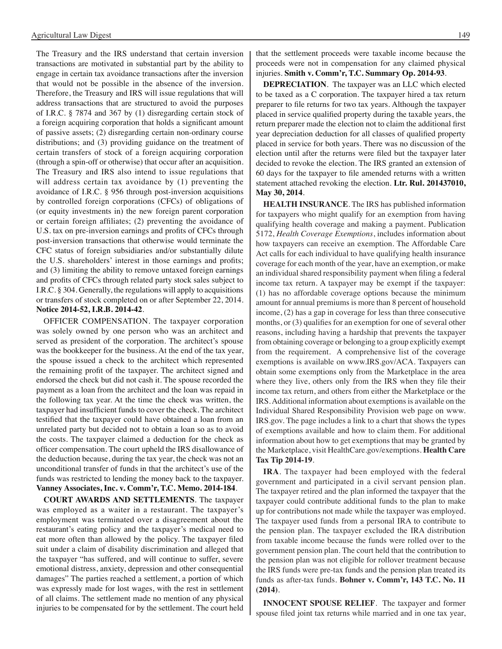The Treasury and the IRS understand that certain inversion transactions are motivated in substantial part by the ability to engage in certain tax avoidance transactions after the inversion that would not be possible in the absence of the inversion. Therefore, the Treasury and IRS will issue regulations that will address transactions that are structured to avoid the purposes of I.R.C. § 7874 and 367 by (1) disregarding certain stock of a foreign acquiring corporation that holds a significant amount of passive assets; (2) disregarding certain non-ordinary course distributions; and (3) providing guidance on the treatment of certain transfers of stock of a foreign acquiring corporation (through a spin-off or otherwise) that occur after an acquisition. The Treasury and IRS also intend to issue regulations that will address certain tax avoidance by  $(1)$  preventing the avoidance of I.R.C. § 956 through post-inversion acquisitions by controlled foreign corporations (CFCs) of obligations of (or equity investments in) the new foreign parent corporation or certain foreign affiliates; (2) preventing the avoidance of U.S. tax on pre-inversion earnings and profits of CFCs through post-inversion transactions that otherwise would terminate the CFC status of foreign subsidiaries and/or substantially dilute the U.S. shareholders' interest in those earnings and profits; and (3) limiting the ability to remove untaxed foreign earnings and profits of CFCs through related party stock sales subject to I.R.C. § 304. Generally, the regulations will apply to acquisitions or transfers of stock completed on or after September 22, 2014. **Notice 2014-52, I.R.B. 2014-42**.

OFFICER COMPENSATION. The taxpayer corporation was solely owned by one person who was an architect and served as president of the corporation. The architect's spouse was the bookkeeper for the business. At the end of the tax year, the spouse issued a check to the architect which represented the remaining profit of the taxpayer. The architect signed and endorsed the check but did not cash it. The spouse recorded the payment as a loan from the architect and the loan was repaid in the following tax year. At the time the check was written, the taxpayer had insufficient funds to cover the check. The architect testified that the taxpayer could have obtained a loan from an unrelated party but decided not to obtain a loan so as to avoid the costs. The taxpayer claimed a deduction for the check as officer compensation. The court upheld the IRS disallowance of the deduction because, during the tax year, the check was not an unconditional transfer of funds in that the architect's use of the funds was restricted to lending the money back to the taxpayer. **Vanney Associates, Inc. v. Comm'r, T.C. Memo. 2014-184**.

**COURT AWARDS AND SETTLEMENTS**. The taxpayer was employed as a waiter in a restaurant. The taxpayer's employment was terminated over a disagreement about the restaurant's eating policy and the taxpayer's medical need to eat more often than allowed by the policy. The taxpayer filed suit under a claim of disability discrimination and alleged that the taxpayer "has suffered, and will continue to suffer, severe emotional distress, anxiety, depression and other consequential damages" The parties reached a settlement, a portion of which was expressly made for lost wages, with the rest in settlement of all claims. The settlement made no mention of any physical injuries to be compensated for by the settlement. The court held

that the settlement proceeds were taxable income because the proceeds were not in compensation for any claimed physical injuries. **Smith v. Comm'r, T.C. Summary Op. 2014-93**.

**DEPRECIATION**. The taxpayer was an LLC which elected to be taxed as a C corporation. The taxpayer hired a tax return preparer to file returns for two tax years. Although the taxpayer placed in service qualified property during the taxable years, the return preparer made the election not to claim the additional first year depreciation deduction for all classes of qualified property placed in service for both years. There was no discussion of the election until after the returns were filed but the taxpayer later decided to revoke the election. The IRS granted an extension of 60 days for the taxpayer to file amended returns with a written statement attached revoking the election. **Ltr. Rul. 201437010, May 30, 2014**.

**HEALTH INSURANCE**. The IRS has published information for taxpayers who might qualify for an exemption from having qualifying health coverage and making a payment. Publication 5172, *Health Coverage Exemptions*, includes information about how taxpayers can receive an exemption. The Affordable Care Act calls for each individual to have qualifying health insurance coverage for each month of the year, have an exemption, or make an individual shared responsibility payment when filing a federal income tax return. A taxpayer may be exempt if the taxpayer: (1) has no affordable coverage options because the minimum amount for annual premiums is more than 8 percent of household income, (2) has a gap in coverage for less than three consecutive months, or (3) qualifies for an exemption for one of several other reasons, including having a hardship that prevents the taxpayer from obtaining coverage or belonging to a group explicitly exempt from the requirement. A comprehensive list of the coverage exemptions is available on www.IRS.gov/ACA. Taxpayers can obtain some exemptions only from the Marketplace in the area where they live, others only from the IRS when they file their income tax return, and others from either the Marketplace or the IRS. Additional information about exemptions is available on the Individual Shared Responsibility Provision web page on www. IRS.gov. The page includes a link to a chart that shows the types of exemptions available and how to claim them. For additional information about how to get exemptions that may be granted by the Marketplace, visit HealthCare.gov/exemptions. **Health Care Tax Tip 2014-19**.

**IRA**. The taxpayer had been employed with the federal government and participated in a civil servant pension plan. The taxpayer retired and the plan informed the taxpayer that the taxpayer could contribute additional funds to the plan to make up for contributions not made while the taxpayer was employed. The taxpayer used funds from a personal IRA to contribute to the pension plan. The taxpayer excluded the IRA distribution from taxable income because the funds were rolled over to the government pension plan. The court held that the contribution to the pension plan was not eligible for rollover treatment because the IRS funds were pre-tax funds and the pension plan treated its funds as after-tax funds. **Bohner v. Comm'r, 143 T.C. No. 11 (2014)**.

**INNOCENT SPOUSE RELIEF**. The taxpayer and former spouse filed joint tax returns while married and in one tax year,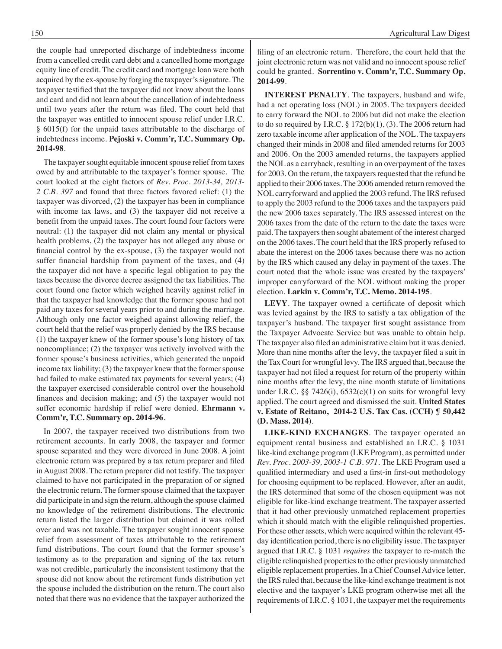the couple had unreported discharge of indebtedness income from a cancelled credit card debt and a cancelled home mortgage equity line of credit. The credit card and mortgage loan were both acquired by the ex-spouse by forging the taxpayer's signature. The taxpayer testified that the taxpayer did not know about the loans and card and did not learn about the cancellation of indebtedness until two years after the return was filed. The court held that the taxpayer was entitled to innocent spouse relief under I.R.C. § 6015(f) for the unpaid taxes attributable to the discharge of indebtedness income. **Pejoski v. Comm'r, T.C. Summary Op. 2014-98**.

The taxpayer sought equitable innocent spouse relief from taxes owed by and attributable to the taxpayer's former spouse. The court looked at the eight factors of *Rev. Proc. 2013-34, 2013- 2 C.B. 397* and found that three factors favored relief: (1) the taxpayer was divorced, (2) the taxpayer has been in compliance with income tax laws, and (3) the taxpayer did not receive a benefit from the unpaid taxes. The court found four factors were neutral: (1) the taxpayer did not claim any mental or physical health problems, (2) the taxpayer has not alleged any abuse or financial control by the ex-spouse, (3) the taxpayer would not suffer financial hardship from payment of the taxes, and (4) the taxpayer did not have a specific legal obligation to pay the taxes because the divorce decree assigned the tax liabilities. The court found one factor which weighed heavily against relief in that the taxpayer had knowledge that the former spouse had not paid any taxes for several years prior to and during the marriage. Although only one factor weighed against allowing relief, the court held that the relief was properly denied by the IRS because (1) the taxpayer knew of the former spouse's long history of tax noncompliance; (2) the taxpayer was actively involved with the former spouse's business activities, which generated the unpaid income tax liability; (3) the taxpayer knew that the former spouse had failed to make estimated tax payments for several years; (4) the taxpayer exercised considerable control over the household finances and decision making; and (5) the taxpayer would not suffer economic hardship if relief were denied. **Ehrmann v. Comm'r, T.C. Summary op. 2014-96**.

In 2007, the taxpayer received two distributions from two retirement accounts. In early 2008, the taxpayer and former spouse separated and they were divorced in June 2008. A joint electronic return was prepared by a tax return preparer and filed in August 2008. The return preparer did not testify. The taxpayer claimed to have not participated in the preparation of or signed the electronic return. The former spouse claimed that the taxpayer did participate in and sign the return, although the spouse claimed no knowledge of the retirement distributions. The electronic return listed the larger distribution but claimed it was rolled over and was not taxable. The taxpayer sought innocent spouse relief from assessment of taxes attributable to the retirement fund distributions. The court found that the former spouse's testimony as to the preparation and signing of the tax return was not credible, particularly the inconsistent testimony that the spouse did not know about the retirement funds distribution yet the spouse included the distribution on the return. The court also noted that there was no evidence that the taxpayer authorized the

filing of an electronic return. Therefore, the court held that the joint electronic return was not valid and no innocent spouse relief could be granted. **Sorrentino v. Comm'r, T.C. Summary Op. 2014-99**.

**INTEREST PENALTY**. The taxpayers, husband and wife, had a net operating loss (NOL) in 2005. The taxpayers decided to carry forward the NOL to 2006 but did not make the election to do so required by I.R.C.  $\S 172(b)(1)$ , (3). The 2006 return had zero taxable income after application of the NOL. The taxpayers changed their minds in 2008 and filed amended returns for 2003 and 2006. On the 2003 amended returns, the taxpayers applied the NOL as a carryback, resulting in an overpayment of the taxes for 2003. On the return, the taxpayers requested that the refund be applied to their 2006 taxes. The 2006 amended return removed the NOL carryforward and applied the 2003 refund. The IRS refused to apply the 2003 refund to the 2006 taxes and the taxpayers paid the new 2006 taxes separately. The IRS assessed interest on the 2006 taxes from the date of the return to the date the taxes were paid. The taxpayers then sought abatement of the interest charged on the 2006 taxes. The court held that the IRS properly refused to abate the interest on the 2006 taxes because there was no action by the IRS which caused any delay in payment of the taxes. The court noted that the whole issue was created by the taxpayers' improper carryforward of the NOL without making the proper election. **Larkin v. Comm'r, T.C. Memo. 2014-195**.

**LEVY**. The taxpayer owned a certificate of deposit which was levied against by the IRS to satisfy a tax obligation of the taxpayer's husband. The taxpayer first sought assistance from the Taxpayer Advocate Service but was unable to obtain help. The taxpayer also filed an administrative claim but it was denied. More than nine months after the levy, the taxpayer filed a suit in the Tax Court for wrongful levy. The IRS argued that, because the taxpayer had not filed a request for return of the property within nine months after the levy, the nine month statute of limitations under I.R.C. §§ 7426(i), 6532(c)(1) on suits for wrongful levy applied. The court agreed and dismissed the suit. **United States v. Estate of Reitano, 2014-2 U.S. Tax Cas. (CCH) ¶ 50,442 (D. Mass. 2014)**.

**LIKE-KIND EXCHANGES**. The taxpayer operated an equipment rental business and established an I.R.C. § 1031 like-kind exchange program (LKE Program), as permitted under *Rev. Proc. 2003-39, 2003-1 C.B. 971*. The LKE Program used a qualified intermediary and used a first-in first-out methodology for choosing equipment to be replaced. However, after an audit, the IRS determined that some of the chosen equipment was not eligible for like-kind exchange treatment. The taxpayer asserted that it had other previously unmatched replacement properties which it should match with the eligible relinquished properties. For these other assets, which were acquired within the relevant 45 day identification period, there is no eligibility issue.The taxpayer argued that I.R.C. § 1031 *requires* the taxpayer to re-match the eligible relinquished properties to the other previously unmatched eligible replacement properties. In a Chief Counsel Advice letter, the IRS ruled that, because the like-kind exchange treatment is not elective and the taxpayer's LKE program otherwise met all the requirements of I.R.C. § 1031, the taxpayer met the requirements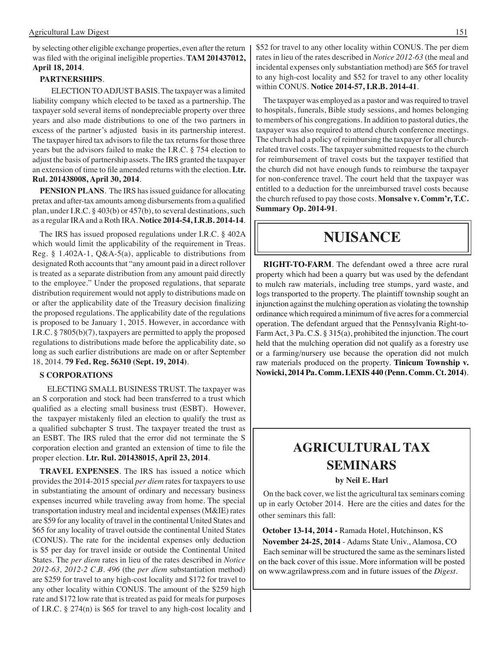by selecting other eligible exchange properties, even after the return was filed with the original ineligible properties. **TAM 201437012, April 18, 2014**.

#### **PARTNERSHIPS**.

ELECTION TO ADJUST BASIS. The taxpayer was a limited liability company which elected to be taxed as a partnership. The taxpayer sold several items of nondepreciable property over three years and also made distributions to one of the two partners in excess of the partner's adjusted basis in its partnership interest. The taxpayer hired tax advisors to file the tax returns for those three years but the advisors failed to make the I.R.C. § 754 election to adjust the basis of partnership assets. The IRS granted the taxpayer an extension of time to file amended returns with the election. **Ltr. Rul. 201438008, April 30, 2014**.

**PENSION PLANS**. The IRS has issued guidance for allocating pretax and after-tax amounts among disbursements from a qualified plan, under I.R.C. § 403(b) or 457(b), to several destinations, such as a regular IRA and a Roth IRA. **Notice 2014-54, I.R.B. 2014-14**.

The IRS has issued proposed regulations under I.R.C. § 402A which would limit the applicability of the requirement in Treas. Reg. § 1.402A-1, Q&A-5(a), applicable to distributions from designated Roth accounts that "any amount paid in a direct rollover is treated as a separate distribution from any amount paid directly to the employee." Under the proposed regulations, that separate distribution requirement would not apply to distributions made on or after the applicability date of the Treasury decision finalizing the proposed regulations. The applicability date of the regulations is proposed to be January 1, 2015. However, in accordance with I.R.C. § 7805(b)(7), taxpayers are permitted to apply the proposed regulations to distributions made before the applicability date, so long as such earlier distributions are made on or after September 18, 2014. **79 Fed. Reg. 56310 (Sept. 19, 2014)**.

#### **S CORPORATIONS**

ELECTING SMALL BUSINESS TRUST. The taxpayer was an S corporation and stock had been transferred to a trust which qualified as a electing small business trust (ESBT). However, the taxpayer mistakenly filed an election to qualify the trust as a qualified subchapter S trust. The taxpayer treated the trust as an ESBT. The IRS ruled that the error did not terminate the S corporation election and granted an extension of time to file the proper election. **Ltr. Rul. 201438015, April 23, 2014**.

**TRAVEL EXPENSES**. The IRS has issued a notice which provides the 2014-2015 special *per diem* rates for taxpayers to use in substantiating the amount of ordinary and necessary business expenses incurred while traveling away from home. The special transportation industry meal and incidental expenses (M&IE) rates are \$59 for any locality of travel in the continental United States and \$65 for any locality of travel outside the continental United States (CONUS). The rate for the incidental expenses only deduction is \$5 per day for travel inside or outside the Continental United States. The *per diem* rates in lieu of the rates described in *Notice 2012-63, 2012-2 C.B. 496* (the *per diem* substantiation method) are \$259 for travel to any high-cost locality and \$172 for travel to any other locality within CONUS. The amount of the \$259 high rate and \$172 low rate that is treated as paid for meals for purposes of I.R.C. § 274(n) is \$65 for travel to any high-cost locality and \$52 for travel to any other locality within CONUS. The per diem rates in lieu of the rates described in *Notice 2012-63* (the meal and incidental expenses only substantiation method) are \$65 for travel to any high-cost locality and \$52 for travel to any other locality within CONUS. **Notice 2014-57, I.R.B. 2014-41**.

The taxpayer was employed as a pastor and was required to travel to hospitals, funerals, Bible study sessions, and homes belonging to members of his congregations. In addition to pastoral duties, the taxpayer was also required to attend church conference meetings. The church had a policy of reimbursing the taxpayer for all churchrelated travel costs. The taxpayer submitted requests to the church for reimbursement of travel costs but the taxpayer testified that the church did not have enough funds to reimburse the taxpayer for non-conference travel. The court held that the taxpayer was entitled to a deduction for the unreimbursed travel costs because the church refused to pay those costs. **Monsalve v. Comm'r, T.C. Summary Op. 2014-91**.

### **Nuisance**

**RIGHT-TO-FARM**. The defendant owed a three acre rural property which had been a quarry but was used by the defendant to mulch raw materials, including tree stumps, yard waste, and logs transported to the property. The plaintiff township sought an injunction against the mulching operation as violating the township ordinance which required a minimum of five acres for a commercial operation. The defendant argued that the Pennsylvania Right-to-Farm Act, 3 Pa. C.S. § 315(a), prohibited the injunction. The court held that the mulching operation did not qualify as a forestry use or a farming/nursery use because the operation did not mulch raw materials produced on the property. **Tinicum Township v. Nowicki, 2014 Pa. Comm. LEXIS 440 (Penn. Comm. Ct. 2014)**.

### **Agricultural tax seminars**

#### **by Neil E. Harl**

On the back cover, we list the agricultural tax seminars coming up in early October 2014. Here are the cities and dates for the other seminars this fall:

 **October 13-14, 2014 -** Ramada Hotel, Hutchinson, KS  **November 24-25, 2014** - Adams State Univ., Alamosa, CO Each seminar will be structured the same as the seminars listed on the back cover of this issue. More information will be posted on www.agrilawpress.com and in future issues of the *Digest*.